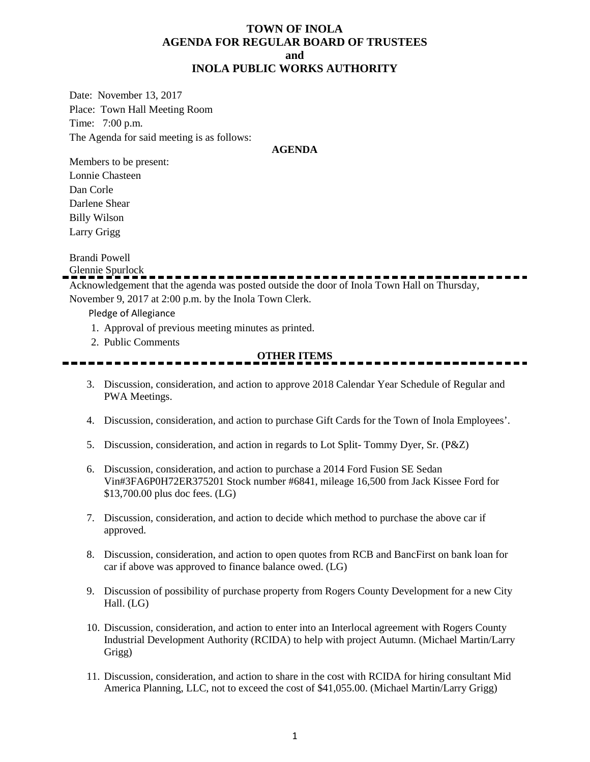### **TOWN OF INOLA AGENDA FOR REGULAR BOARD OF TRUSTEES and INOLA PUBLIC WORKS AUTHORITY**

Date: November 13, 2017 Place: Town Hall Meeting Room Time: 7:00 p.m. The Agenda for said meeting is as follows:

#### **AGENDA**

Members to be present: Lonnie Chasteen Dan Corle Darlene Shear Billy Wilson Larry Grigg

Brandi Powell

Glennie Spurlock

Acknowledgement that the agenda was posted outside the door of Inola Town Hall on Thursday, November 9, 2017 at 2:00 p.m. by the Inola Town Clerk.

Pledge of Allegiance

- 1. Approval of previous meeting minutes as printed.
- 2. Public Comments

#### **OTHER ITEMS**

- 3. Discussion, consideration, and action to approve 2018 Calendar Year Schedule of Regular and PWA Meetings.
- 4. Discussion, consideration, and action to purchase Gift Cards for the Town of Inola Employees'.
- 5. Discussion, consideration, and action in regards to Lot Split- Tommy Dyer, Sr. (P&Z)
- 6. Discussion, consideration, and action to purchase a 2014 Ford Fusion SE Sedan Vin#3FA6P0H72ER375201 Stock number #6841, mileage 16,500 from Jack Kissee Ford for \$13,700.00 plus doc fees. (LG)
- 7. Discussion, consideration, and action to decide which method to purchase the above car if approved.
- 8. Discussion, consideration, and action to open quotes from RCB and BancFirst on bank loan for car if above was approved to finance balance owed. (LG)
- 9. Discussion of possibility of purchase property from Rogers County Development for a new City Hall. (LG)
- 10. Discussion, consideration, and action to enter into an Interlocal agreement with Rogers County Industrial Development Authority (RCIDA) to help with project Autumn. (Michael Martin/Larry Grigg)
- 11. Discussion, consideration, and action to share in the cost with RCIDA for hiring consultant Mid America Planning, LLC, not to exceed the cost of \$41,055.00. (Michael Martin/Larry Grigg)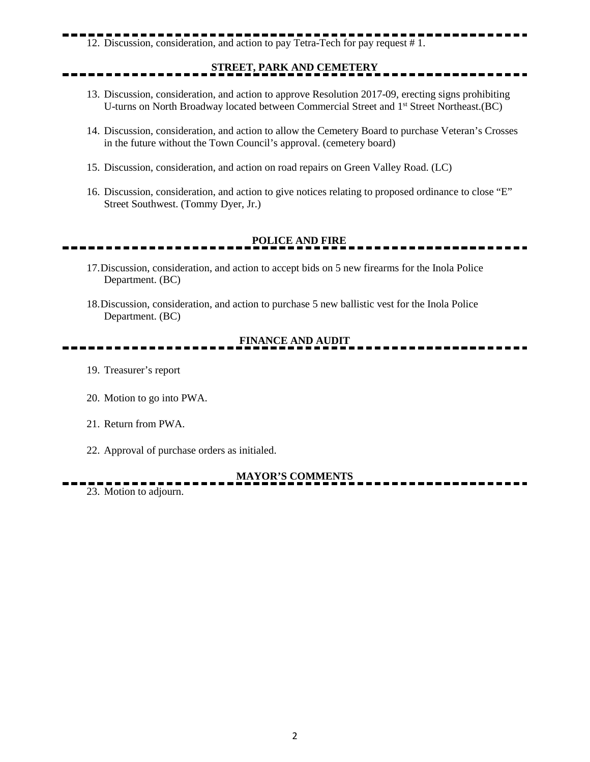# 12. Discussion, consideration, and action to pay Tetra-Tech for pay request # 1.

## **STREET, PARK AND CEMETERY**

- 13. Discussion, consideration, and action to approve Resolution 2017-09, erecting signs prohibiting U-turns on North Broadway located between Commercial Street and 1st Street Northeast.(BC)
- 14. Discussion, consideration, and action to allow the Cemetery Board to purchase Veteran's Crosses in the future without the Town Council's approval. (cemetery board)
- 15. Discussion, consideration, and action on road repairs on Green Valley Road. (LC)
- 16. Discussion, consideration, and action to give notices relating to proposed ordinance to close "E" Street Southwest. (Tommy Dyer, Jr.)

## **POLICE AND FIRE**

- 17.Discussion, consideration, and action to accept bids on 5 new firearms for the Inola Police Department. (BC)
- 18.Discussion, consideration, and action to purchase 5 new ballistic vest for the Inola Police Department. (BC)

### **FINANCE AND AUDIT**

- 19. Treasurer's report
- 20. Motion to go into PWA.
- 21. Return from PWA.
- 22. Approval of purchase orders as initialed.

#### **MAYOR'S COMMENTS**

23. Motion to adjourn.